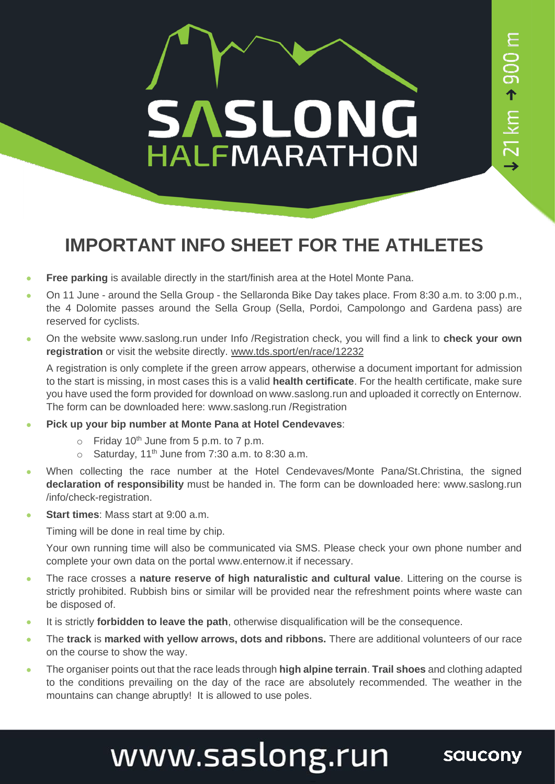

## **IMPORTANT INFO SHEET FOR THE ATHLETES**

- **Free parking** is available directly in the start/finish area at the Hotel Monte Pana.
- On 11 June around the Sella Group the Sellaronda Bike Day takes place. From 8:30 a.m. to 3:00 p.m., the 4 Dolomite passes around the Sella Group (Sella, Pordoi, Campolongo and Gardena pass) are reserved for cyclists.
- On the website www.saslong.run under Info /Registration check, you will find a link to **check your own registration** or visit the website directly. [www.tds.sport/en/race/12232](http://www.tds.sport/en/race/12232)

A registration is only complete if the green arrow appears, otherwise a document important for admission to the start is missing, in most cases this is a valid **health certificate**. For the health certificate, make sure you have used the form provided for download on www.saslong.run and uploaded it correctly on Enternow. The form can be downloaded here: www.saslong.run /Registration

- **Pick up your bip number at Monte Pana at Hotel Cendevaves**:
	- $\circ$  Friday 10<sup>th</sup> June from 5 p.m. to 7 p.m.
	- $\circ$  Saturday, 11<sup>th</sup> June from 7:30 a.m. to 8:30 a.m.
- When collecting the race number at the Hotel Cendevaves/Monte Pana/St.Christina, the signed **declaration of responsibility** must be handed in. The form can be downloaded here: www.saslong.run /info/check-registration.
- **Start times**: Mass start at 9:00 a.m.

Timing will be done in real time by chip.

Your own running time will also be communicated via SMS. Please check your own phone number and complete your own data on the portal www.enternow.it if necessary.

- The race crosses a **nature reserve of high naturalistic and cultural value**. Littering on the course is strictly prohibited. Rubbish bins or similar will be provided near the refreshment points where waste can be disposed of.
- It is strictly **forbidden to leave the path**, otherwise disqualification will be the consequence.
- The **track** is **marked with yellow arrows, dots and ribbons.** There are additional volunteers of our race on the course to show the way.
- The organiser points out that the race leads through **high alpine terrain**. **Trail shoes** and clothing adapted to the conditions prevailing on the day of the race are absolutely recommended. The weather in the mountains can change abruptly! It is allowed to use poles.

## www.saslong.run